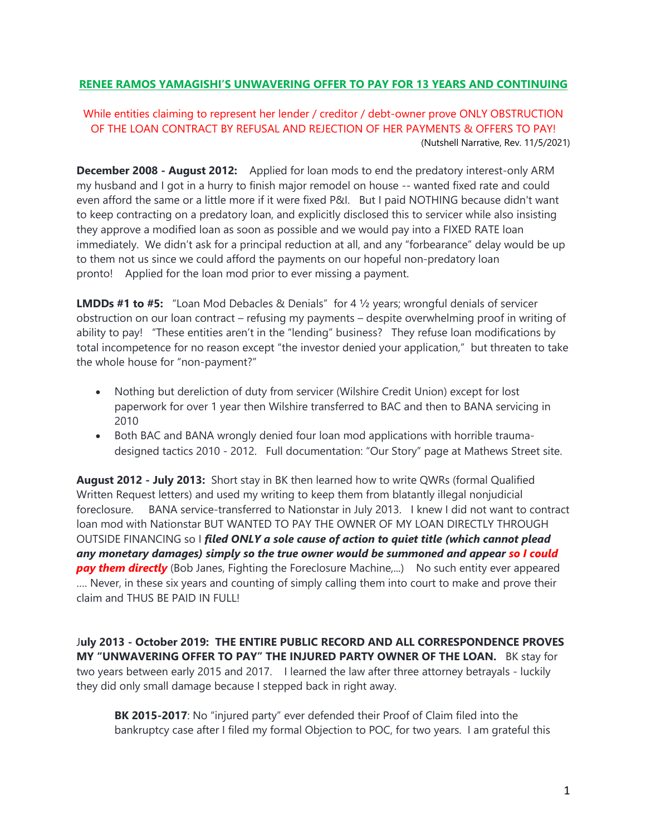## **RENEE RAMOS YAMAGISHI'S UNWAVERING OFFER TO PAY FOR 13 YEARS AND CONTINUING**

While entities claiming to represent her lender / creditor / debt-owner prove ONLY OBSTRUCTION OF THE LOAN CONTRACT BY REFUSAL AND REJECTION OF HER PAYMENTS & OFFERS TO PAY! (Nutshell Narrative, Rev. 11/5/2021)

**December 2008 - August 2012:** Applied for loan mods to end the predatory interest-only ARM my husband and I got in a hurry to finish major remodel on house -- wanted fixed rate and could even afford the same or a little more if it were fixed P&I. But I paid NOTHING because didn't want to keep contracting on a predatory loan, and explicitly disclosed this to servicer while also insisting they approve a modified loan as soon as possible and we would pay into a FIXED RATE loan immediately. We didn't ask for a principal reduction at all, and any "forbearance" delay would be up to them not us since we could afford the payments on our hopeful non-predatory loan pronto! Applied for the loan mod prior to ever missing a payment.

**LMDDs #1 to #5:** "Loan Mod Debacles & Denials" for 4 ½ years; wrongful denials of servicer obstruction on our loan contract – refusing my payments – despite overwhelming proof in writing of ability to pay! "These entities aren't in the "lending" business? They refuse loan modifications by total incompetence for no reason except "the investor denied your application," but threaten to take the whole house for "non-payment?"

- Nothing but dereliction of duty from servicer (Wilshire Credit Union) except for lost paperwork for over 1 year then Wilshire transferred to BAC and then to BANA servicing in 2010
- Both BAC and BANA wrongly denied four loan mod applications with horrible traumadesigned tactics 2010 - 2012. Full documentation: "Our Story" page at Mathews Street site.

**August 2012 - July 2013:** Short stay in BK then learned how to write QWRs (formal Qualified Written Request letters) and used my writing to keep them from blatantly illegal nonjudicial foreclosure. BANA service-transferred to Nationstar in July 2013. I knew I did not want to contract loan mod with Nationstar BUT WANTED TO PAY THE OWNER OF MY LOAN DIRECTLY THROUGH OUTSIDE FINANCING so I *filed ONLY a sole cause of action to quiet title (which cannot plead any monetary damages) simply so the true owner would be summoned and appear so I could*  **pay them directly** (Bob Janes, Fighting the Foreclosure Machine,...) No such entity ever appeared …. Never, in these six years and counting of simply calling them into court to make and prove their claim and THUS BE PAID IN FULL!

J**uly 2013 - October 2019: THE ENTIRE PUBLIC RECORD AND ALL CORRESPONDENCE PROVES MY "UNWAVERING OFFER TO PAY" THE INJURED PARTY OWNER OF THE LOAN.** BK stay for two years between early 2015 and 2017. I learned the law after three attorney betrayals - luckily they did only small damage because I stepped back in right away.

**BK 2015-2017**: No "injured party" ever defended their Proof of Claim filed into the bankruptcy case after I filed my formal Objection to POC, for two years. I am grateful this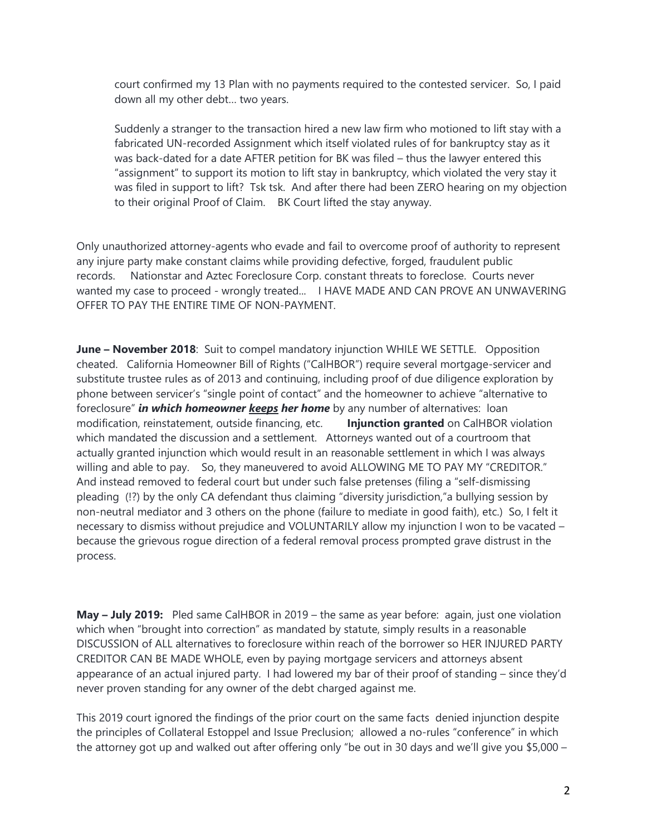court confirmed my 13 Plan with no payments required to the contested servicer. So, I paid down all my other debt… two years.

Suddenly a stranger to the transaction hired a new law firm who motioned to lift stay with a fabricated UN-recorded Assignment which itself violated rules of for bankruptcy stay as it was back-dated for a date AFTER petition for BK was filed – thus the lawyer entered this "assignment" to support its motion to lift stay in bankruptcy, which violated the very stay it was filed in support to lift? Tsk tsk. And after there had been ZERO hearing on my objection to their original Proof of Claim. BK Court lifted the stay anyway.

Only unauthorized attorney-agents who evade and fail to overcome proof of authority to represent any injure party make constant claims while providing defective, forged, fraudulent public records. Nationstar and Aztec Foreclosure Corp. constant threats to foreclose. Courts never wanted my case to proceed - wrongly treated... I HAVE MADE AND CAN PROVE AN UNWAVERING OFFER TO PAY THE ENTIRE TIME OF NON-PAYMENT.

**June – November 2018**: Suit to compel mandatory injunction WHILE WE SETTLE. Opposition cheated. California Homeowner Bill of Rights ("CalHBOR") require several mortgage-servicer and substitute trustee rules as of 2013 and continuing, including proof of due diligence exploration by phone between servicer's "single point of contact" and the homeowner to achieve "alternative to foreclosure" *in which homeowner keeps her home* by any number of alternatives: loan modification, reinstatement, outside financing, etc. **Injunction granted** on CalHBOR violation which mandated the discussion and a settlement. Attorneys wanted out of a courtroom that actually granted injunction which would result in an reasonable settlement in which I was always willing and able to pay. So, they maneuvered to avoid ALLOWING ME TO PAY MY "CREDITOR." And instead removed to federal court but under such false pretenses (filing a "self-dismissing pleading (!?) by the only CA defendant thus claiming "diversity jurisdiction,"a bullying session by non-neutral mediator and 3 others on the phone (failure to mediate in good faith), etc.) So, I felt it necessary to dismiss without prejudice and VOLUNTARILY allow my injunction I won to be vacated – because the grievous rogue direction of a federal removal process prompted grave distrust in the process.

**May – July 2019:** Pled same CalHBOR in 2019 – the same as year before: again, just one violation which when "brought into correction" as mandated by statute, simply results in a reasonable DISCUSSION of ALL alternatives to foreclosure within reach of the borrower so HER INJURED PARTY CREDITOR CAN BE MADE WHOLE, even by paying mortgage servicers and attorneys absent appearance of an actual injured party. I had lowered my bar of their proof of standing – since they'd never proven standing for any owner of the debt charged against me.

This 2019 court ignored the findings of the prior court on the same facts denied injunction despite the principles of Collateral Estoppel and Issue Preclusion; allowed a no-rules "conference" in which the attorney got up and walked out after offering only "be out in 30 days and we'll give you \$5,000 –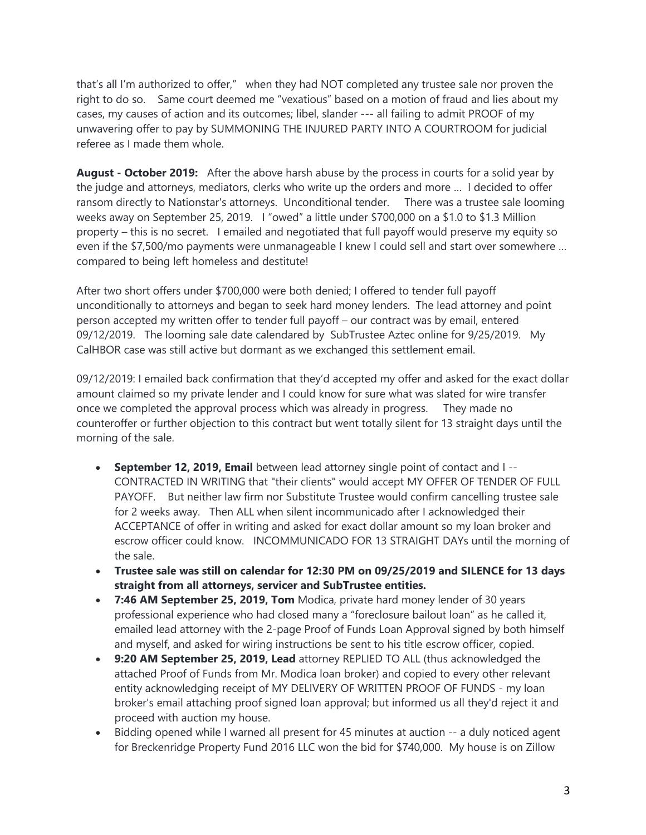that's all I'm authorized to offer," when they had NOT completed any trustee sale nor proven the right to do so. Same court deemed me "vexatious" based on a motion of fraud and lies about my cases, my causes of action and its outcomes; libel, slander --- all failing to admit PROOF of my unwavering offer to pay by SUMMONING THE INJURED PARTY INTO A COURTROOM for judicial referee as I made them whole.

**August - October 2019:** After the above harsh abuse by the process in courts for a solid year by the judge and attorneys, mediators, clerks who write up the orders and more … I decided to offer ransom directly to Nationstar's attorneys. Unconditional tender. There was a trustee sale looming weeks away on September 25, 2019. I "owed" a little under \$700,000 on a \$1.0 to \$1.3 Million property – this is no secret. I emailed and negotiated that full payoff would preserve my equity so even if the \$7,500/mo payments were unmanageable I knew I could sell and start over somewhere … compared to being left homeless and destitute!

After two short offers under \$700,000 were both denied; I offered to tender full payoff unconditionally to attorneys and began to seek hard money lenders. The lead attorney and point person accepted my written offer to tender full payoff – our contract was by email, entered 09/12/2019. The looming sale date calendared by SubTrustee Aztec online for 9/25/2019. My CalHBOR case was still active but dormant as we exchanged this settlement email.

09/12/2019: I emailed back confirmation that they'd accepted my offer and asked for the exact dollar amount claimed so my private lender and I could know for sure what was slated for wire transfer once we completed the approval process which was already in progress. They made no counteroffer or further objection to this contract but went totally silent for 13 straight days until the morning of the sale.

- **September 12, 2019, Email** between lead attorney single point of contact and I -- CONTRACTED IN WRITING that "their clients" would accept MY OFFER OF TENDER OF FULL PAYOFF. But neither law firm nor Substitute Trustee would confirm cancelling trustee sale for 2 weeks away. Then ALL when silent incommunicado after I acknowledged their ACCEPTANCE of offer in writing and asked for exact dollar amount so my loan broker and escrow officer could know. INCOMMUNICADO FOR 13 STRAIGHT DAYs until the morning of the sale.
- **Trustee sale was still on calendar for 12:30 PM on 09/25/2019 and SILENCE for 13 days straight from all attorneys, servicer and SubTrustee entities.**
- **7:46 AM September 25, 2019, Tom** Modica, private hard money lender of 30 years professional experience who had closed many a "foreclosure bailout loan" as he called it, emailed lead attorney with the 2-page Proof of Funds Loan Approval signed by both himself and myself, and asked for wiring instructions be sent to his title escrow officer, copied.
- **9:20 AM September 25, 2019, Lead** attorney REPLIED TO ALL (thus acknowledged the attached Proof of Funds from Mr. Modica loan broker) and copied to every other relevant entity acknowledging receipt of MY DELIVERY OF WRITTEN PROOF OF FUNDS - my loan broker's email attaching proof signed loan approval; but informed us all they'd reject it and proceed with auction my house.
- Bidding opened while I warned all present for 45 minutes at auction -- a duly noticed agent for Breckenridge Property Fund 2016 LLC won the bid for \$740,000. My house is on Zillow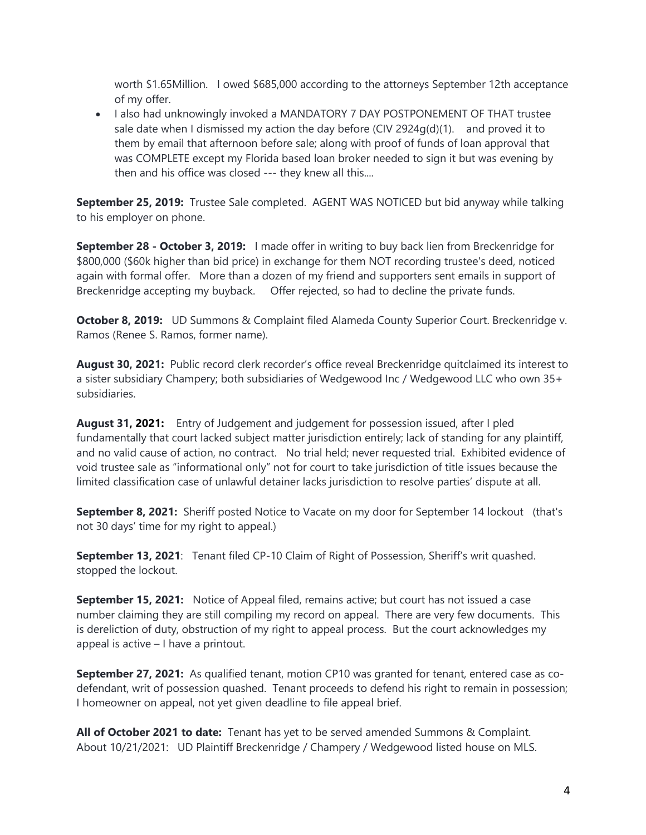worth \$1.65Million. I owed \$685,000 according to the attorneys September 12th acceptance of my offer.

• I also had unknowingly invoked a MANDATORY 7 DAY POSTPONEMENT OF THAT trustee sale date when I dismissed my action the day before (CIV  $2924q(d)(1)$ . and proved it to them by email that afternoon before sale; along with proof of funds of loan approval that was COMPLETE except my Florida based loan broker needed to sign it but was evening by then and his office was closed --- they knew all this....

**September 25, 2019:** Trustee Sale completed. AGENT WAS NOTICED but bid anyway while talking to his employer on phone.

**September 28 - October 3, 2019:** I made offer in writing to buy back lien from Breckenridge for \$800,000 (\$60k higher than bid price) in exchange for them NOT recording trustee's deed, noticed again with formal offer. More than a dozen of my friend and supporters sent emails in support of Breckenridge accepting my buyback. Offer rejected, so had to decline the private funds.

**October 8, 2019:** UD Summons & Complaint filed Alameda County Superior Court. Breckenridge v. Ramos (Renee S. Ramos, former name).

**August 30, 2021:** Public record clerk recorder's office reveal Breckenridge quitclaimed its interest to a sister subsidiary Champery; both subsidiaries of Wedgewood Inc / Wedgewood LLC who own 35+ subsidiaries.

**August 31, 2021:** Entry of Judgement and judgement for possession issued, after I pled fundamentally that court lacked subject matter jurisdiction entirely; lack of standing for any plaintiff, and no valid cause of action, no contract. No trial held; never requested trial. Exhibited evidence of void trustee sale as "informational only" not for court to take jurisdiction of title issues because the limited classification case of unlawful detainer lacks jurisdiction to resolve parties' dispute at all.

**September 8, 2021:** Sheriff posted Notice to Vacate on my door for September 14 lockout (that's not 30 days' time for my right to appeal.)

**September 13, 2021**: Tenant filed CP-10 Claim of Right of Possession, Sheriff's writ quashed. stopped the lockout.

**September 15, 2021:** Notice of Appeal filed, remains active; but court has not issued a case number claiming they are still compiling my record on appeal. There are very few documents. This is dereliction of duty, obstruction of my right to appeal process. But the court acknowledges my appeal is active – I have a printout.

**September 27, 2021:** As qualified tenant, motion CP10 was granted for tenant, entered case as codefendant, writ of possession quashed. Tenant proceeds to defend his right to remain in possession; I homeowner on appeal, not yet given deadline to file appeal brief.

**All of October 2021 to date:** Tenant has yet to be served amended Summons & Complaint. About 10/21/2021: UD Plaintiff Breckenridge / Champery / Wedgewood listed house on MLS.